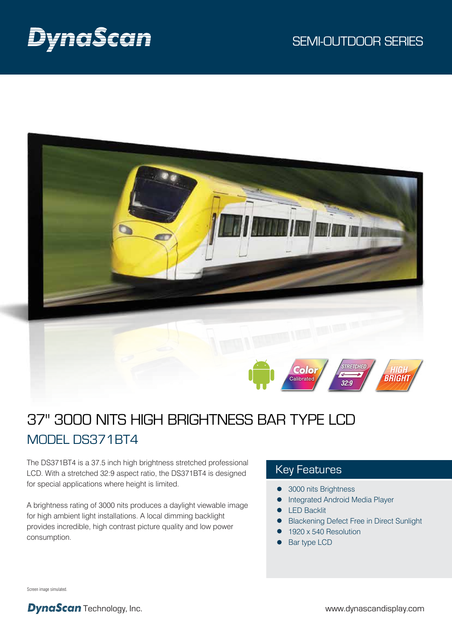

# 37" 3000 NITS HIGH BRIGHTNESS BAR TYPE LCD MODEL DS371BT4

The DS371BT4 is a 37.5 inch high brightness stretched professional LCD. With a stretched 32:9 aspect ratio, the DS371BT4 is designed for special applications where height is limited.

A brightness rating of 3000 nits produces a daylight viewable image for high ambient light installations. A local dimming backlight provides incredible, high contrast picture quality and low power consumption.

### Key Features

Color Calibrated

- 3000 nits Brightness
- Integrated Android Media Player  $\bullet$
- **•** LED Backlit
- Blackening Defect Free in Direct Sunlight  $\bullet$

*STRETCHED*

*32:9*

- 1920 x 540 Resolution
- Bar type LCD

Screen image simulated.

**DynaScan** Technology, Inc. www.dynascandisplay.com

 *HIGH* **BRIG**